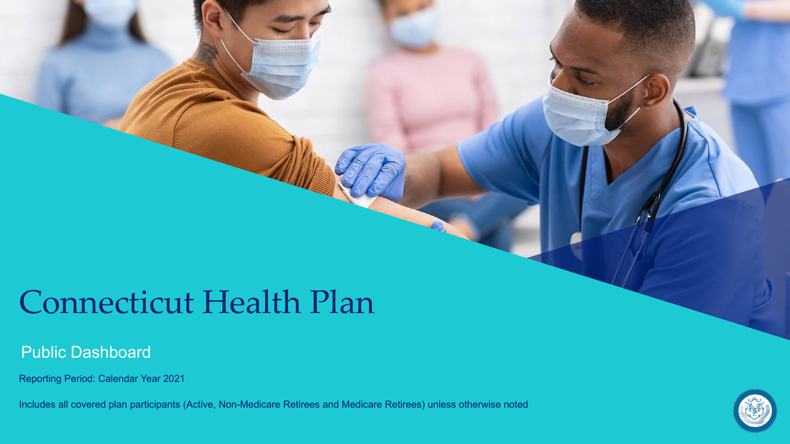## Connecticut Health Plan

#### Public Dashboard

Reporting Period: Calendar Year 2021

Includes all covered plan participants (Active, Non-Medicare Retirees and Medicare Retirees) unless otherwise noted

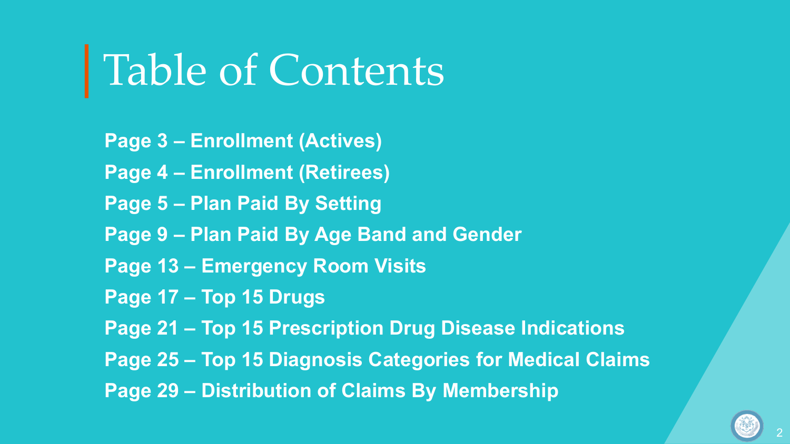# │Table of Contents

**Page 3 – Enrollment (Actives) Page 4 – Enrollment (Retirees) Page 5 – Plan Paid By Setting Page 9 – Plan Paid By Age Band and Gender Page 13 – Emergency Room Visits Page 17 – Top 15 Drugs Page 21 – Top 15 Prescription Drug Disease Indications Page 25 – Top 15 Diagnosis Categories for Medical Claims Page 29 – Distribution of Claims By Membership**

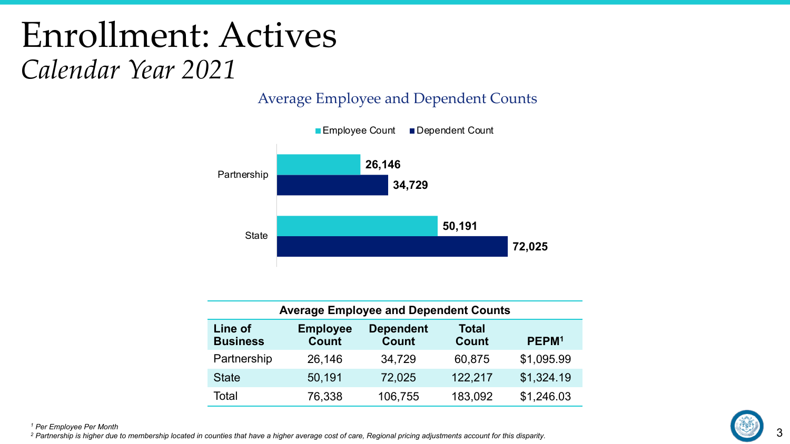## Enrollment: Actives *Calendar Year 2021*

Average Employee and Dependent Counts



| <b>Average Employee and Dependent Counts</b> |                                 |                                  |                              |                   |  |
|----------------------------------------------|---------------------------------|----------------------------------|------------------------------|-------------------|--|
| Line of<br><b>Business</b>                   | <b>Employee</b><br><b>Count</b> | <b>Dependent</b><br><b>Count</b> | <b>Total</b><br><b>Count</b> | PEPM <sup>1</sup> |  |
| Partnership                                  | 26,146                          | 34,729                           | 60,875                       | \$1,095.99        |  |
| <b>State</b>                                 | 50,191                          | 72,025                           | 122,217                      | \$1,324.19        |  |
| Total                                        | 76,338                          | 106,755                          | 183,092                      | \$1,246.03        |  |

*<sup>1</sup> Per Employee Per Month* 

*<sup>2</sup> Partnership is higher due to membership located in counties that have a higher average cost of care, Regional pricing adjustments account for this disparity.*

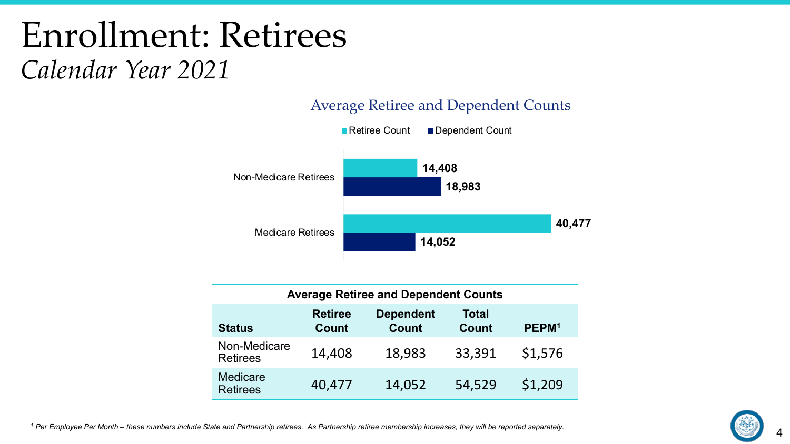## Enrollment: Retirees *Calendar Year 2021*



#### Average Retiree and Dependent Counts

| <b>Average Retiree and Dependent Counts</b> |                                |                                  |                       |                   |  |
|---------------------------------------------|--------------------------------|----------------------------------|-----------------------|-------------------|--|
| <b>Status</b>                               | <b>Retiree</b><br><b>Count</b> | <b>Dependent</b><br><b>Count</b> | Total<br><b>Count</b> | PEPM <sup>1</sup> |  |
| Non-Medicare<br><b>Retirees</b>             | 14,408                         | 18,983                           | 33,391                | \$1,576           |  |
| Medicare<br><b>Retirees</b>                 | 40,477                         | 14,052                           | 54,529                | \$1,209           |  |

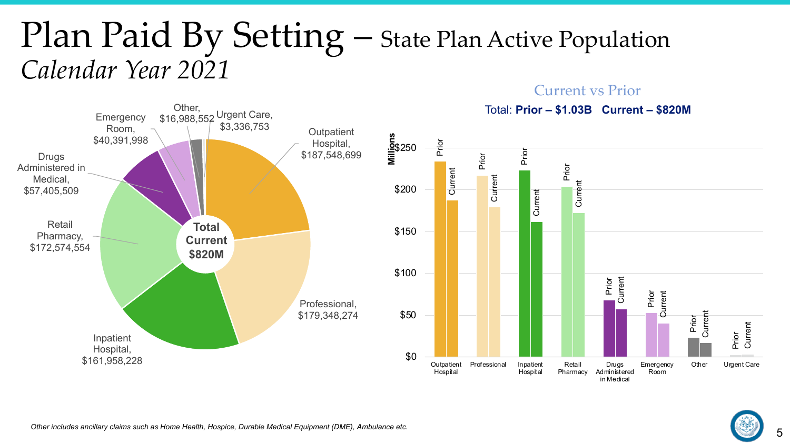## Plan Paid By Setting – State Plan Active Population *Calendar Year 2021*

Current vs Prior

in Medical

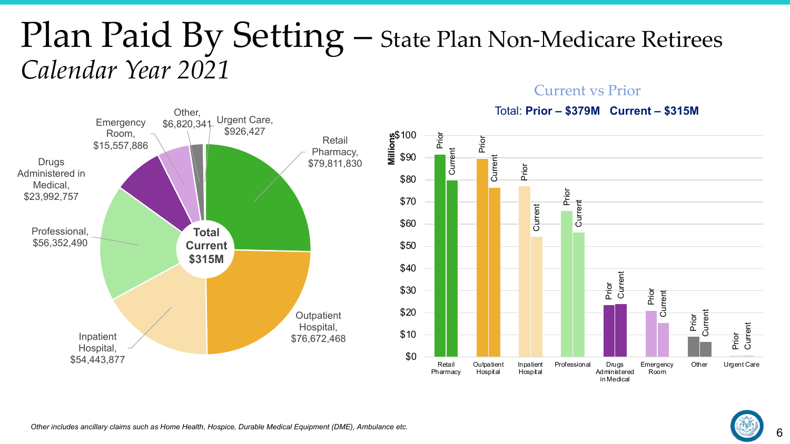## Plan Paid By Setting – State Plan Non-Medicare Retirees *Calendar Year 2021*



#### Total: **Prior – \$379M Current – \$315M**

in Medical



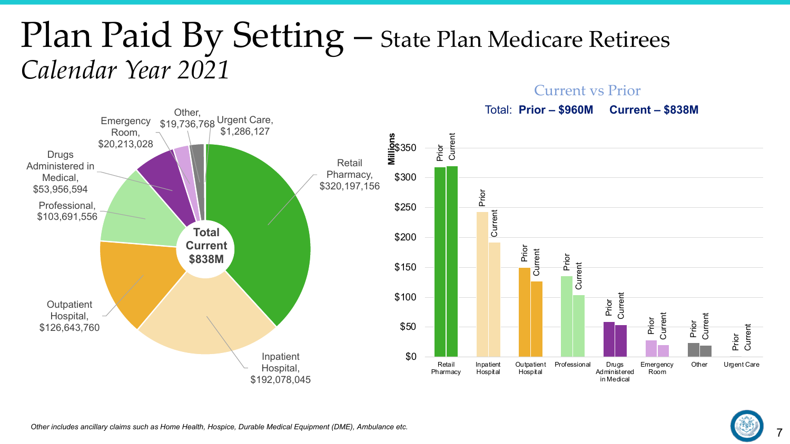#### Plan Paid By Setting – State Plan Medicare Retirees *Calendar Year 2021* Current vs Prior



7

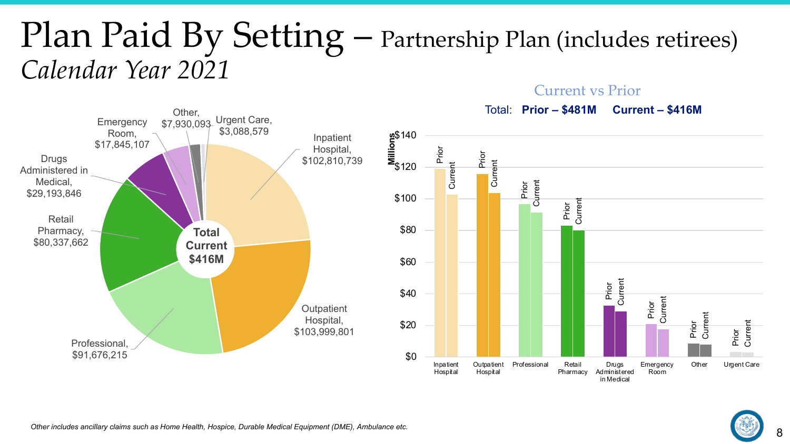## Plan Paid By Setting – Partnership Plan (includes retirees) *Calendar Year 2021*

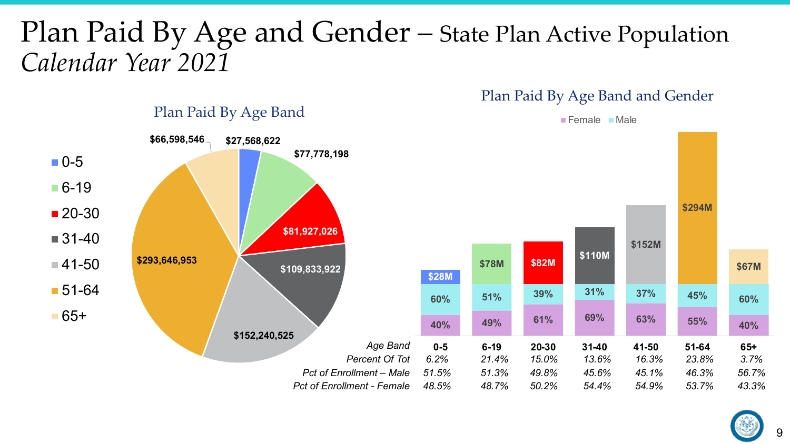#### Plan Paid By Age and Gender – State Plan Active Population *Calendar Year 2021*

#### Plan Paid By Age Band and Gender



Plan Paid By Age Band

 $\blacksquare$  Female  $\blacksquare$  Male

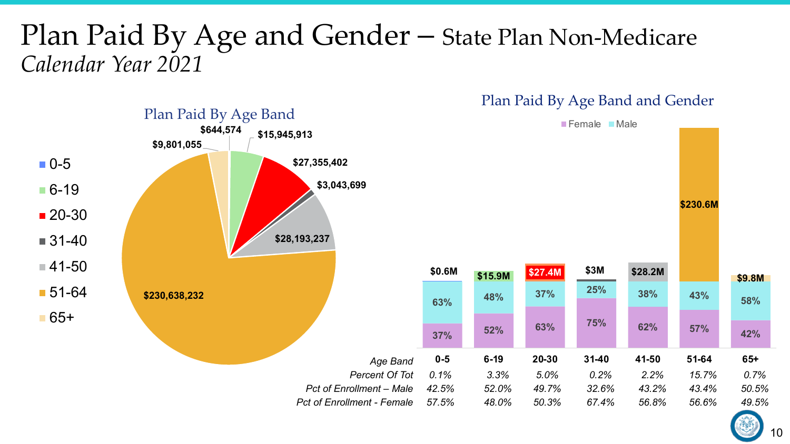#### Plan Paid By Age and Gender – State Plan Non-Medicare *Calendar Year 2021*



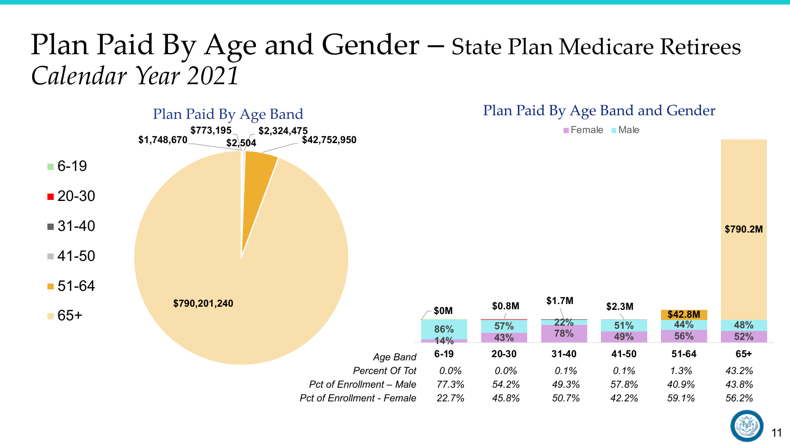#### Plan Paid By Age and Gender – State Plan Medicare Retirees *Calendar Year 2021*



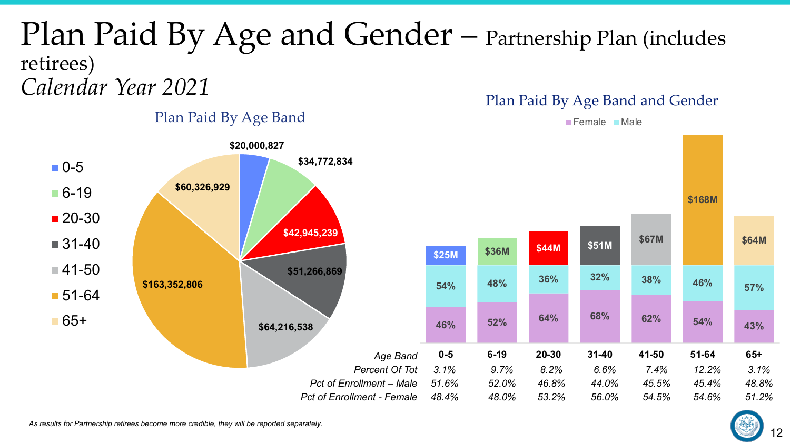#### Plan Paid By Age and Gender – Partnership Plan (includes retirees) *Calendar Year 2021* Plan Paid By Age Band and Gender



Plan Paid By Age Band

 $\blacksquare$  Female  $\blacksquare$  Male



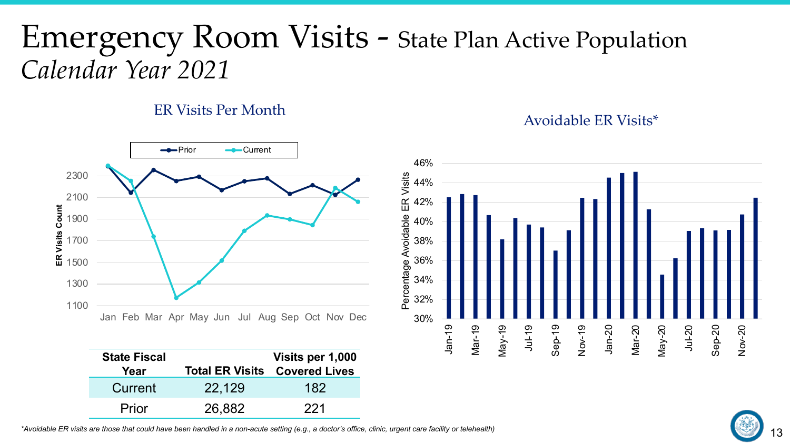### Emergency Room Visits - State Plan Active Population *Calendar Year 2021*

#### ER Visits Per Month Avoidable ER Visits\*



| <b>State Fiscal</b> |        | Visits per 1,000                     |
|---------------------|--------|--------------------------------------|
| Year                |        | <b>Total ER Visits Covered Lives</b> |
| Current             | 22,129 | 182                                  |
| Prior               | 26,882 | 221                                  |



*\*Avoidable ER visits are those that could have been handled in a non-acute setting (e.g., a doctor's office, clinic, urgent care facility or telehealth)*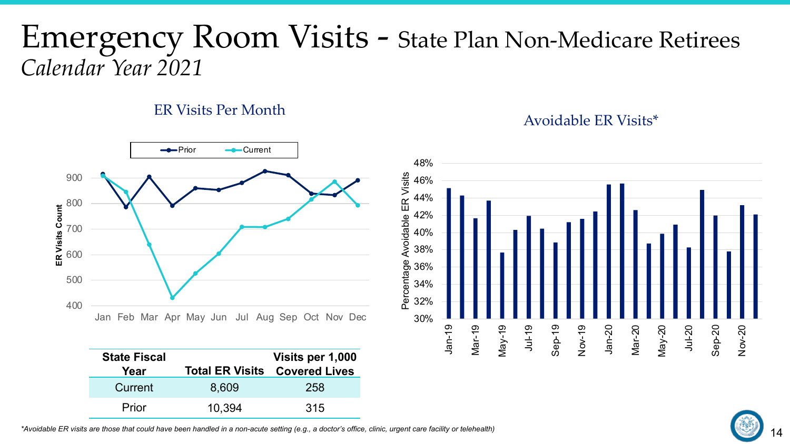#### Emergency Room Visits - State Plan Non-Medicare Retirees *Calendar Year 2021*

#### ER Visits Per Month Avoidable ER Visits\*



| <b>State Fiscal</b> |        | Visits per 1,000                     |
|---------------------|--------|--------------------------------------|
| Year                |        | <b>Total ER Visits Covered Lives</b> |
| Current             | 8,609  | 258                                  |
| Prior               | 10.394 | 315                                  |



*\*Avoidable ER visits are those that could have been handled in a non-acute setting (e.g., a doctor's office, clinic, urgent care facility or telehealth)*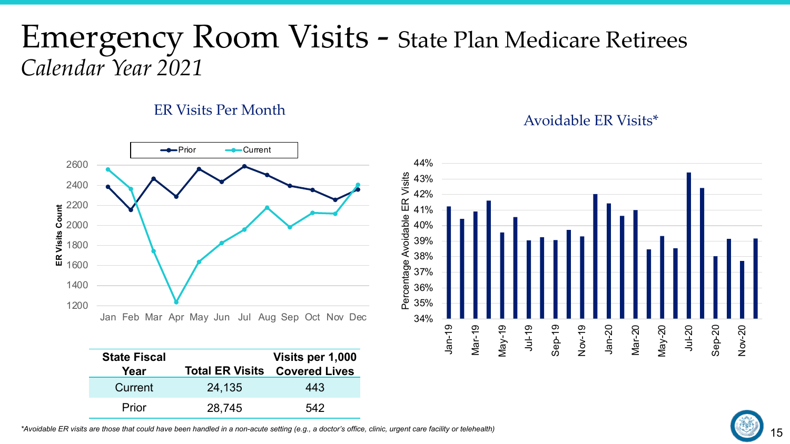#### Emergency Room Visits - State Plan Medicare Retirees *Calendar Year 2021*

#### ER Visits Per Month Avoidable ER Visits\*



| <b>State Fiscal</b><br>Year |        | Visits per 1,000<br><b>Total ER Visits Covered Lives</b> |
|-----------------------------|--------|----------------------------------------------------------|
| Current                     | 24,135 | 443                                                      |
| Prior                       | 28,745 | 542                                                      |



*\*Avoidable ER visits are those that could have been handled in a non-acute setting (e.g., a doctor's office, clinic, urgent care facility or telehealth)*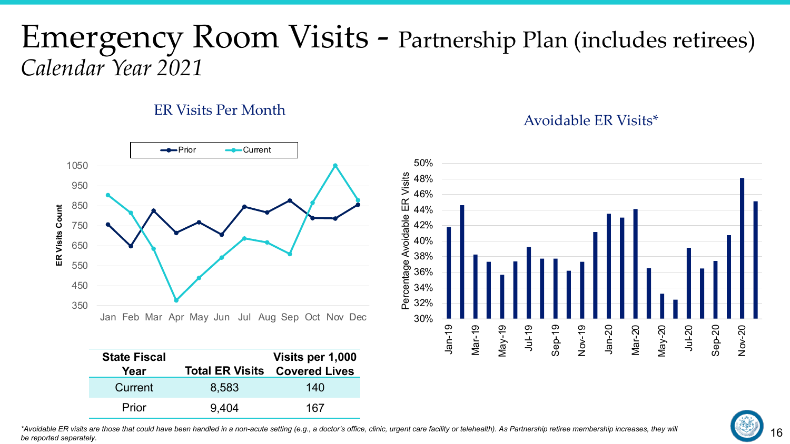#### Emergency Room Visits - Partnership Plan (includes retirees) *Calendar Year 2021*

Percentage Avoidable ER Visits

Avoidable ER Visits

#### ER Visits Per Month Avoidable ER Visits\*



| <b>State Fiscal</b><br>Year |       | Visits per 1,000<br><b>Total ER Visits Covered Lives</b> |
|-----------------------------|-------|----------------------------------------------------------|
| Current                     | 8,583 | 140                                                      |
| Prior                       | 9.404 | 167                                                      |

#### 50% 48% 46% 44% 42% 40% 38% Percentage 36% 34% 32% 30% May-19 Sep-19 Nov-19 Jan-20 Mar-20 May-20 Jul-20 Sep-20 Jan-19 Jul-19 Nov-20 Mar-19



*\*Avoidable ER visits are those that could have been handled in a non-acute setting (e.g., a doctor's office, clinic, urgent care facility or telehealth). As Partnership retiree membership increases, they will be reported separately.*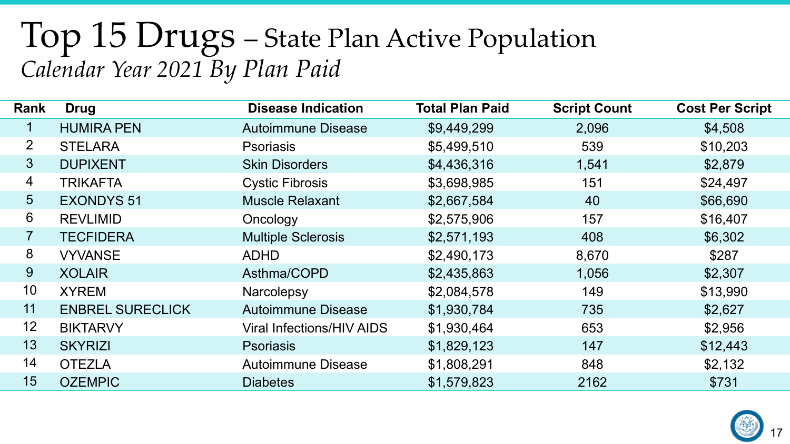## Top 15 Drugs – State Plan Active Population *Calendar Year 2021 By Plan Paid*

| Rank           | <b>Drug</b>             | <b>Disease Indication</b>        | <b>Total Plan Paid</b> | <b>Script Count</b> | <b>Cost Per Script</b> |
|----------------|-------------------------|----------------------------------|------------------------|---------------------|------------------------|
|                | <b>HUMIRA PEN</b>       | <b>Autoimmune Disease</b>        | \$9,449,299            | 2,096               | \$4,508                |
| 2 <sup>1</sup> | <b>STELARA</b>          | <b>Psoriasis</b>                 | \$5,499,510            | 539                 | \$10,203               |
| 3 <sup>2</sup> | <b>DUPIXENT</b>         | <b>Skin Disorders</b>            | \$4,436,316            | 1,541               | \$2,879                |
| 4              | <b>TRIKAFTA</b>         | <b>Cystic Fibrosis</b>           | \$3,698,985            | 151                 | \$24,497               |
| 5              | <b>EXONDYS 51</b>       | <b>Muscle Relaxant</b>           | \$2,667,584            | 40                  | \$66,690               |
| 6              | <b>REVLIMID</b>         | Oncology                         | \$2,575,906            | 157                 | \$16,407               |
| 7              | <b>TECFIDERA</b>        | <b>Multiple Sclerosis</b>        | \$2,571,193            | 408                 | \$6,302                |
| 8              | <b>VYVANSE</b>          | <b>ADHD</b>                      | \$2,490,173            | 8,670               | \$287                  |
| 9              | <b>XOLAIR</b>           | Asthma/COPD                      | \$2,435,863            | 1,056               | \$2,307                |
| 10             | <b>XYREM</b>            | Narcolepsy                       | \$2,084,578            | 149                 | \$13,990               |
| 11             | <b>ENBREL SURECLICK</b> | <b>Autoimmune Disease</b>        | \$1,930,784            | 735                 | \$2,627                |
| 12             | <b>BIKTARVY</b>         | <b>Viral Infections/HIV AIDS</b> | \$1,930,464            | 653                 | \$2,956                |
| 13             | <b>SKYRIZI</b>          | <b>Psoriasis</b>                 | \$1,829,123            | 147                 | \$12,443               |
| 14             | <b>OTEZLA</b>           | <b>Autoimmune Disease</b>        | \$1,808,291            | 848                 | \$2,132                |
| 15             | <b>OZEMPIC</b>          | <b>Diabetes</b>                  | \$1,579,823            | 2162                | \$731                  |

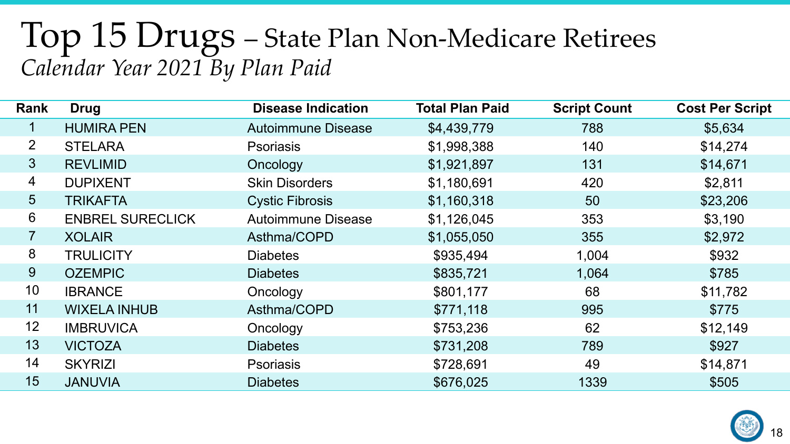### Top 15 Drugs – State Plan Non-Medicare Retirees *Calendar Year 2021 By Plan Paid*

| Rank           | <b>Drug</b>             | <b>Disease Indication</b> | <b>Total Plan Paid</b> | <b>Script Count</b> | <b>Cost Per Script</b> |
|----------------|-------------------------|---------------------------|------------------------|---------------------|------------------------|
| $\mathbf{1}$   | <b>HUMIRA PEN</b>       | <b>Autoimmune Disease</b> | \$4,439,779            | 788                 | \$5,634                |
| $\overline{2}$ | <b>STELARA</b>          | <b>Psoriasis</b>          | \$1,998,388            | 140                 | \$14,274               |
| 3 <sup>2</sup> | <b>REVLIMID</b>         | Oncology                  | \$1,921,897            | 131                 | \$14,671               |
| $\overline{4}$ | <b>DUPIXENT</b>         | <b>Skin Disorders</b>     | \$1,180,691            | 420                 | \$2,811                |
| 5              | TRIKAFTA                | <b>Cystic Fibrosis</b>    | \$1,160,318            | 50                  | \$23,206               |
| 6              | <b>ENBREL SURECLICK</b> | <b>Autoimmune Disease</b> | \$1,126,045            | 353                 | \$3,190                |
| $\overline{7}$ | <b>XOLAIR</b>           | Asthma/COPD               | \$1,055,050            | 355                 | \$2,972                |
| 8              | <b>TRULICITY</b>        | <b>Diabetes</b>           | \$935,494              | 1,004               | \$932                  |
| 9              | <b>OZEMPIC</b>          | <b>Diabetes</b>           | \$835,721              | 1,064               | \$785                  |
| 10             | <b>IBRANCE</b>          | Oncology                  | \$801,177              | 68                  | \$11,782               |
| 11             | <b>WIXELA INHUB</b>     | Asthma/COPD               | \$771,118              | 995                 | \$775                  |
| 12             | <b>IMBRUVICA</b>        | Oncology                  | \$753,236              | 62                  | \$12,149               |
| 13             | <b>VICTOZA</b>          | <b>Diabetes</b>           | \$731,208              | 789                 | \$927                  |
| 14             | <b>SKYRIZI</b>          | <b>Psoriasis</b>          | \$728,691              | 49                  | \$14,871               |
| 15             | <b>JANUVIA</b>          | <b>Diabetes</b>           | \$676,025              | 1339                | \$505                  |

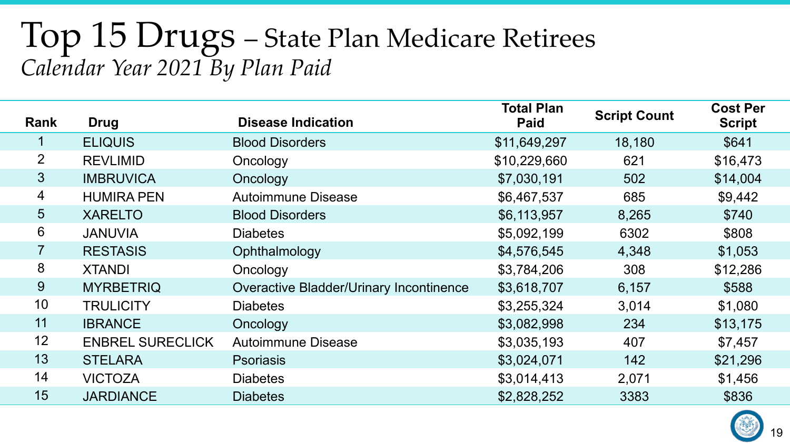### Top 15 Drugs – State Plan Medicare Retirees *Calendar Year 2021 By Plan Paid*

| Rank            | <b>Drug</b>             | <b>Disease Indication</b>                      | <b>Total Plan</b><br><b>Paid</b> | <b>Script Count</b> | <b>Cost Per</b><br><b>Script</b> |
|-----------------|-------------------------|------------------------------------------------|----------------------------------|---------------------|----------------------------------|
|                 | <b>ELIQUIS</b>          | <b>Blood Disorders</b>                         | \$11,649,297                     | 18,180              | \$641                            |
| $\overline{2}$  | <b>REVLIMID</b>         | Oncology                                       | \$10,229,660                     | 621                 | \$16,473                         |
| $\mathbf{3}$    | <b>IMBRUVICA</b>        | Oncology                                       | \$7,030,191                      | 502                 | \$14,004                         |
| $\overline{4}$  | <b>HUMIRA PEN</b>       | <b>Autoimmune Disease</b>                      | \$6,467,537                      | 685                 | \$9,442                          |
| $5\overline{)}$ | <b>XARELTO</b>          | <b>Blood Disorders</b>                         | \$6,113,957                      | 8,265               | \$740                            |
| 6               | <b>JANUVIA</b>          | <b>Diabetes</b>                                | \$5,092,199                      | 6302                | \$808                            |
| $\overline{7}$  | <b>RESTASIS</b>         | Ophthalmology                                  | \$4,576,545                      | 4,348               | \$1,053                          |
| 8               | <b>XTANDI</b>           | Oncology                                       | \$3,784,206                      | 308                 | \$12,286                         |
| 9               | <b>MYRBETRIQ</b>        | <b>Overactive Bladder/Urinary Incontinence</b> | \$3,618,707                      | 6,157               | \$588                            |
| 10              | <b>TRULICITY</b>        | <b>Diabetes</b>                                | \$3,255,324                      | 3,014               | \$1,080                          |
| 11              | <b>IBRANCE</b>          | Oncology                                       | \$3,082,998                      | 234                 | \$13,175                         |
| 12              | <b>ENBREL SURECLICK</b> | <b>Autoimmune Disease</b>                      | \$3,035,193                      | 407                 | \$7,457                          |
| 13              | <b>STELARA</b>          | <b>Psoriasis</b>                               | \$3,024,071                      | 142                 | \$21,296                         |
| 14              | <b>VICTOZA</b>          | <b>Diabetes</b>                                | \$3,014,413                      | 2,071               | \$1,456                          |
| 15              | <b>JARDIANCE</b>        | <b>Diabetes</b>                                | \$2,828,252                      | 3383                | \$836                            |

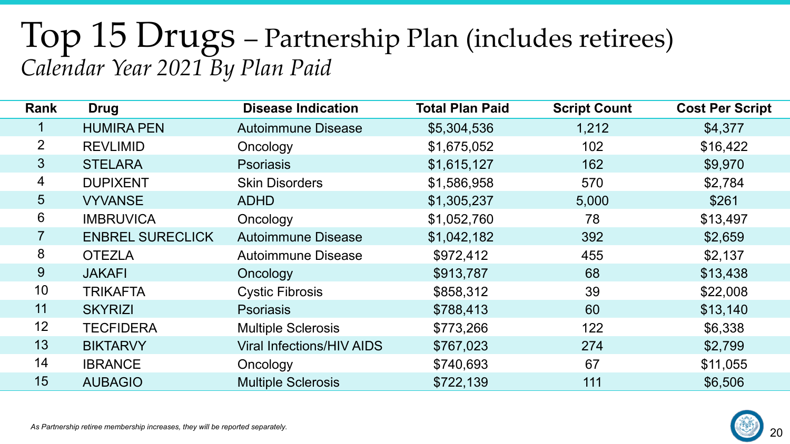### Top 15 Drugs – Partnership Plan (includes retirees) *Calendar Year 2021 By Plan Paid*

| Rank           | <b>Drug</b>             | <b>Disease Indication</b>        | <b>Total Plan Paid</b> | <b>Script Count</b> | <b>Cost Per Script</b> |
|----------------|-------------------------|----------------------------------|------------------------|---------------------|------------------------|
| $\mathbf 1$    | <b>HUMIRA PEN</b>       | <b>Autoimmune Disease</b>        | \$5,304,536            | 1,212               | \$4,377                |
| $\overline{2}$ | <b>REVLIMID</b>         | Oncology                         | \$1,675,052            | 102                 | \$16,422               |
| 3 <sup>2</sup> | <b>STELARA</b>          | <b>Psoriasis</b>                 | \$1,615,127            | 162                 | \$9,970                |
| 4              | <b>DUPIXENT</b>         | <b>Skin Disorders</b>            | \$1,586,958            | 570                 | \$2,784                |
| 5 <sup>5</sup> | <b>VYVANSE</b>          | <b>ADHD</b>                      | \$1,305,237            | 5,000               | \$261                  |
| 6              | <b>IMBRUVICA</b>        | Oncology                         | \$1,052,760            | 78                  | \$13,497               |
| $\overline{7}$ | <b>ENBREL SURECLICK</b> | <b>Autoimmune Disease</b>        | \$1,042,182            | 392                 | \$2,659                |
| 8              | <b>OTEZLA</b>           | <b>Autoimmune Disease</b>        | \$972,412              | 455                 | \$2,137                |
| 9              | <b>JAKAFI</b>           | Oncology                         | \$913,787              | 68                  | \$13,438               |
| 10             | <b>TRIKAFTA</b>         | <b>Cystic Fibrosis</b>           | \$858,312              | 39                  | \$22,008               |
| 11             | <b>SKYRIZI</b>          | <b>Psoriasis</b>                 | \$788,413              | 60                  | \$13,140               |
| 12             | <b>TECFIDERA</b>        | <b>Multiple Sclerosis</b>        | \$773,266              | 122                 | \$6,338                |
| 13             | <b>BIKTARVY</b>         | <b>Viral Infections/HIV AIDS</b> | \$767,023              | 274                 | \$2,799                |
| 14             | <b>IBRANCE</b>          | Oncology                         | \$740,693              | 67                  | \$11,055               |
| 15             | <b>AUBAGIO</b>          | <b>Multiple Sclerosis</b>        | \$722,139              | 111                 | \$6,506                |



*As Partnership retiree membership increases, they will be reported separately.*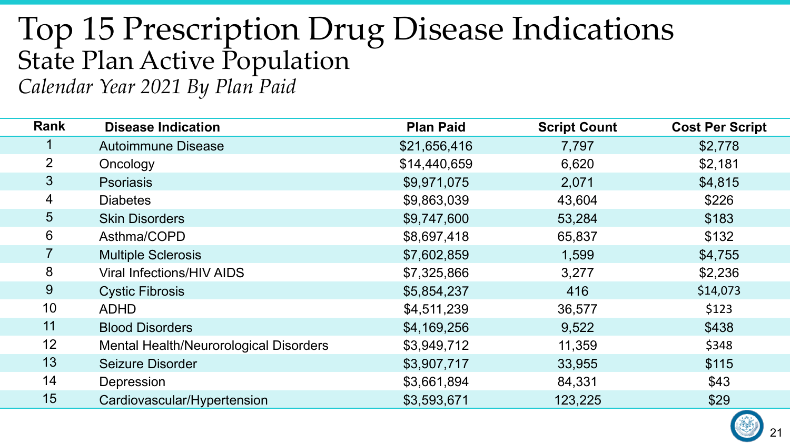#### Top 15 Prescription Drug Disease Indications State Plan Active Population *Calendar Year 2021 By Plan Paid*

| <b>Rank</b>     | <b>Disease Indication</b>              | <b>Plan Paid</b> | <b>Script Count</b> | <b>Cost Per Script</b> |
|-----------------|----------------------------------------|------------------|---------------------|------------------------|
|                 | <b>Autoimmune Disease</b>              | \$21,656,416     | 7,797               | \$2,778                |
| $\overline{2}$  | Oncology                               | \$14,440,659     | 6,620               | \$2,181                |
| $\mathfrak{S}$  | <b>Psoriasis</b>                       | \$9,971,075      | 2,071               | \$4,815                |
| 4               | <b>Diabetes</b>                        | \$9,863,039      | 43,604              | \$226                  |
| $5\overline{)}$ | <b>Skin Disorders</b>                  | \$9,747,600      | 53,284              | \$183                  |
| 6               | Asthma/COPD                            | \$8,697,418      | 65,837              | \$132                  |
|                 | <b>Multiple Sclerosis</b>              | \$7,602,859      | 1,599               | \$4,755                |
| 8               | <b>Viral Infections/HIV AIDS</b>       | \$7,325,866      | 3,277               | \$2,236                |
| 9               | <b>Cystic Fibrosis</b>                 | \$5,854,237      | 416                 | \$14,073               |
| 10              | <b>ADHD</b>                            | \$4,511,239      | 36,577              | \$123                  |
| 11              | <b>Blood Disorders</b>                 | \$4,169,256      | 9,522               | \$438                  |
| 12              | Mental Health/Neurorological Disorders | \$3,949,712      | 11,359              | \$348                  |
| 13              | Seizure Disorder                       | \$3,907,717      | 33,955              | \$115                  |
| 14              | Depression                             | \$3,661,894      | 84,331              | \$43                   |
| 15              | Cardiovascular/Hypertension            | \$3,593,671      | 123,225             | \$29                   |

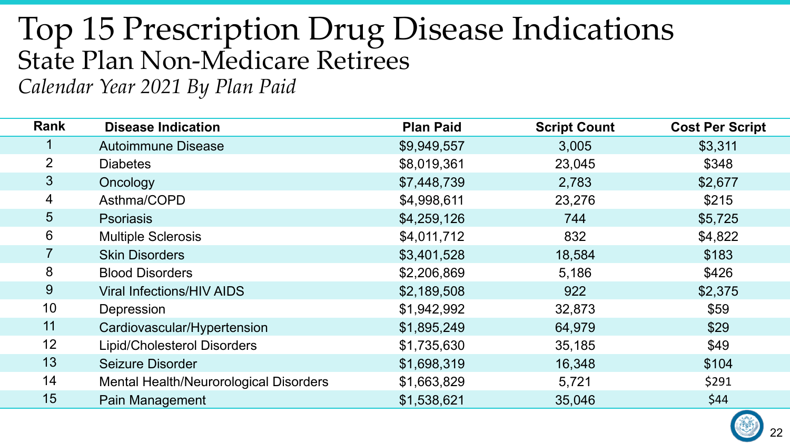## Top 15 Prescription Drug Disease Indications State Plan Non-Medicare Retirees

*Calendar Year 2021 By Plan Paid*

| Rank           | <b>Disease Indication</b>              | <b>Plan Paid</b> | <b>Script Count</b> | <b>Cost Per Script</b> |
|----------------|----------------------------------------|------------------|---------------------|------------------------|
|                | <b>Autoimmune Disease</b>              | \$9,949,557      | 3,005               | \$3,311                |
| $\overline{2}$ | <b>Diabetes</b>                        | \$8,019,361      | 23,045              | \$348                  |
| 3 <sup>2</sup> | Oncology                               | \$7,448,739      | 2,783               | \$2,677                |
| 4              | Asthma/COPD                            | \$4,998,611      | 23,276              | \$215                  |
| 5              | <b>Psoriasis</b>                       | \$4,259,126      | 744                 | \$5,725                |
| 6              | <b>Multiple Sclerosis</b>              | \$4,011,712      | 832                 | \$4,822                |
|                | <b>Skin Disorders</b>                  | \$3,401,528      | 18,584              | \$183                  |
| 8              | <b>Blood Disorders</b>                 | \$2,206,869      | 5,186               | \$426                  |
| 9              | <b>Viral Infections/HIV AIDS</b>       | \$2,189,508      | 922                 | \$2,375                |
| 10             | Depression                             | \$1,942,992      | 32,873              | \$59                   |
| 11             | Cardiovascular/Hypertension            | \$1,895,249      | 64,979              | \$29                   |
| 12             | <b>Lipid/Cholesterol Disorders</b>     | \$1,735,630      | 35,185              | \$49                   |
| 13             | Seizure Disorder                       | \$1,698,319      | 16,348              | \$104                  |
| 14             | Mental Health/Neurorological Disorders | \$1,663,829      | 5,721               | \$291                  |
| 15             | Pain Management                        | \$1,538,621      | 35,046              | \$44                   |
|                |                                        |                  |                     |                        |

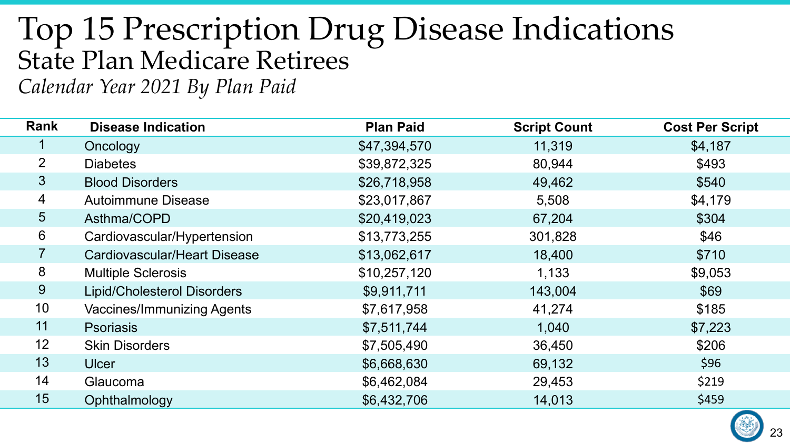## Top 15 Prescription Drug Disease Indications State Plan Medicare Retirees

*Calendar Year 2021 By Plan Paid*

| <b>Rank</b>    | <b>Disease Indication</b>           | <b>Plan Paid</b> | <b>Script Count</b> | <b>Cost Per Script</b> |
|----------------|-------------------------------------|------------------|---------------------|------------------------|
|                | Oncology                            | \$47,394,570     | 11,319              | \$4,187                |
| $\overline{2}$ | <b>Diabetes</b>                     | \$39,872,325     | 80,944              | \$493                  |
| 3 <sup>2</sup> | <b>Blood Disorders</b>              | \$26,718,958     | 49,462              | \$540                  |
| $\overline{4}$ | <b>Autoimmune Disease</b>           | \$23,017,867     | 5,508               | \$4,179                |
| 5 <sup>5</sup> | Asthma/COPD                         | \$20,419,023     | 67,204              | \$304                  |
| 6              | Cardiovascular/Hypertension         | \$13,773,255     | 301,828             | \$46                   |
| $\overline{7}$ | <b>Cardiovascular/Heart Disease</b> | \$13,062,617     | 18,400              | \$710                  |
| 8              | <b>Multiple Sclerosis</b>           | \$10,257,120     | 1,133               | \$9,053                |
| 9              | <b>Lipid/Cholesterol Disorders</b>  | \$9,911,711      | 143,004             | \$69                   |
| 10             | <b>Vaccines/Immunizing Agents</b>   | \$7,617,958      | 41,274              | \$185                  |
| 11             | <b>Psoriasis</b>                    | \$7,511,744      | 1,040               | \$7,223                |
| 12             | <b>Skin Disorders</b>               | \$7,505,490      | 36,450              | \$206                  |
| 13             | <b>Ulcer</b>                        | \$6,668,630      | 69,132              | \$96                   |
| 14             | Glaucoma                            | \$6,462,084      | 29,453              | \$219                  |
| 15             | Ophthalmology                       | \$6,432,706      | 14,013              | \$459                  |

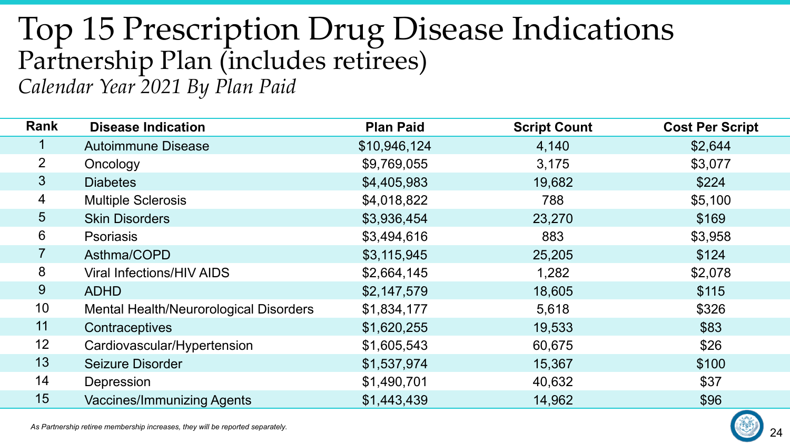#### Top 15 Prescription Drug Disease Indications Partnership Plan (includes retirees) *Calendar Year 2021 By Plan Paid*

| Rank           | <b>Disease Indication</b>              | <b>Plan Paid</b> | <b>Script Count</b> | <b>Cost Per Script</b> |
|----------------|----------------------------------------|------------------|---------------------|------------------------|
| 1              | <b>Autoimmune Disease</b>              | \$10,946,124     | 4,140               | \$2,644                |
| $\overline{2}$ | Oncology                               | \$9,769,055      | 3,175               | \$3,077                |
| 3 <sup>1</sup> | <b>Diabetes</b>                        | \$4,405,983      | 19,682              | \$224                  |
| $\overline{4}$ | <b>Multiple Sclerosis</b>              | \$4,018,822      | 788                 | \$5,100                |
| 5 <sup>5</sup> | <b>Skin Disorders</b>                  | \$3,936,454      | 23,270              | \$169                  |
| 6              | <b>Psoriasis</b>                       | \$3,494,616      | 883                 | \$3,958                |
| $\overline{7}$ | Asthma/COPD                            | \$3,115,945      | 25,205              | \$124                  |
| 8              | <b>Viral Infections/HIV AIDS</b>       | \$2,664,145      | 1,282               | \$2,078                |
| 9              | <b>ADHD</b>                            | \$2,147,579      | 18,605              | \$115                  |
| 10             | Mental Health/Neurorological Disorders | \$1,834,177      | 5,618               | \$326                  |
| 11             | Contraceptives                         | \$1,620,255      | 19,533              | \$83                   |
| 12             | Cardiovascular/Hypertension            | \$1,605,543      | 60,675              | \$26                   |
| 13             | <b>Seizure Disorder</b>                | \$1,537,974      | 15,367              | \$100                  |
| 14             | Depression                             | \$1,490,701      | 40,632              | \$37                   |
| 15             | <b>Vaccines/Immunizing Agents</b>      | \$1,443,439      | 14,962              | \$96                   |

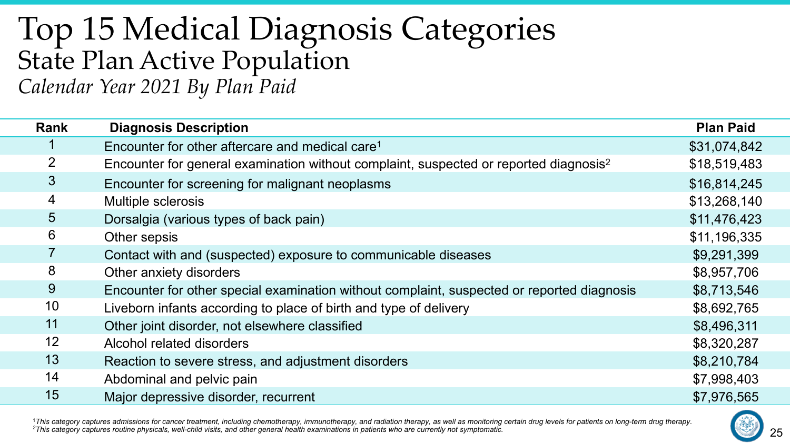#### Top 15 Medical Diagnosis Categories State Plan Active Population *Calendar Year 2021 By Plan Paid*

| <b>Rank</b>     | <b>Diagnosis Description</b>                                                                      | <b>Plan Paid</b> |
|-----------------|---------------------------------------------------------------------------------------------------|------------------|
|                 | Encounter for other aftercare and medical care <sup>1</sup>                                       | \$31,074,842     |
| 2               | Encounter for general examination without complaint, suspected or reported diagnosis <sup>2</sup> | \$18,519,483     |
| $\mathfrak{S}$  | Encounter for screening for malignant neoplasms                                                   | \$16,814,245     |
| $\overline{4}$  | Multiple sclerosis                                                                                | \$13,268,140     |
| $5\overline{)}$ | Dorsalgia (various types of back pain)                                                            | \$11,476,423     |
| 6               | Other sepsis                                                                                      | \$11,196,335     |
|                 | Contact with and (suspected) exposure to communicable diseases                                    | \$9,291,399      |
| 8               | Other anxiety disorders                                                                           | \$8,957,706      |
| 9               | Encounter for other special examination without complaint, suspected or reported diagnosis        | \$8,713,546      |
| 10              | Liveborn infants according to place of birth and type of delivery                                 | \$8,692,765      |
| 11              | Other joint disorder, not elsewhere classified                                                    | \$8,496,311      |
| 12              | Alcohol related disorders                                                                         | \$8,320,287      |
| 13              | Reaction to severe stress, and adjustment disorders                                               | \$8,210,784      |
| 14              | Abdominal and pelvic pain                                                                         | \$7,998,403      |
| 15              | Major depressive disorder, recurrent                                                              | \$7,976,565      |

<sup>1</sup>This category captures admissions for cancer treatment, including chemotherapy, immunotherapy, and radiation therapy, as well as monitoring certain drug levels for patients on long-term drug therapy.<br><sup>2</sup>This category ca

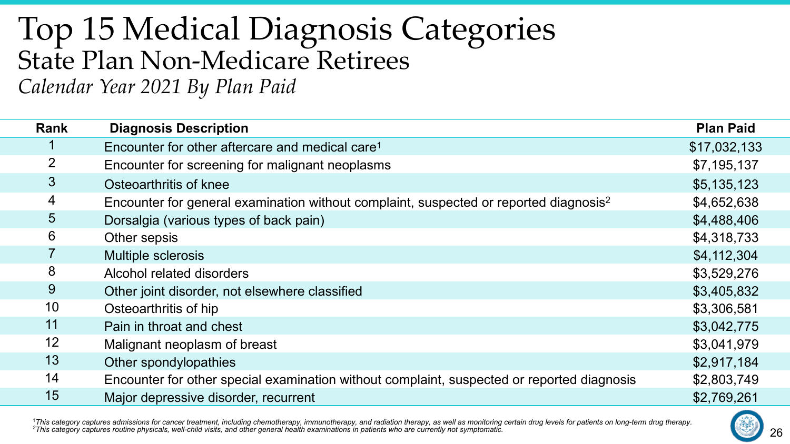#### Top 15 Medical Diagnosis Categories State Plan Non-Medicare Retirees *Calendar Year 2021 By Plan Paid*

| <b>Rank</b>     | <b>Diagnosis Description</b>                                                                      | <b>Plan Paid</b> |
|-----------------|---------------------------------------------------------------------------------------------------|------------------|
|                 | Encounter for other aftercare and medical care <sup>1</sup>                                       | \$17,032,133     |
| $\overline{2}$  | Encounter for screening for malignant neoplasms                                                   | \$7,195,137      |
| $\mathbf{3}$    | Osteoarthritis of knee                                                                            | \$5,135,123      |
| $\overline{4}$  | Encounter for general examination without complaint, suspected or reported diagnosis <sup>2</sup> | \$4,652,638      |
| $5\overline{)}$ | Dorsalgia (various types of back pain)                                                            | \$4,488,406      |
| 6               | Other sepsis                                                                                      | \$4,318,733      |
| $\overline{7}$  | <b>Multiple sclerosis</b>                                                                         | \$4,112,304      |
| 8               | Alcohol related disorders                                                                         | \$3,529,276      |
| 9               | Other joint disorder, not elsewhere classified                                                    | \$3,405,832      |
| 10              | Osteoarthritis of hip                                                                             | \$3,306,581      |
| 11              | Pain in throat and chest                                                                          | \$3,042,775      |
| 12              | Malignant neoplasm of breast                                                                      | \$3,041,979      |
| 13              | Other spondylopathies                                                                             | \$2,917,184      |
| 14              | Encounter for other special examination without complaint, suspected or reported diagnosis        | \$2,803,749      |
| 15              | Major depressive disorder, recurrent                                                              | \$2,769,261      |

<sup>1</sup>This category captures admissions for cancer treatment, including chemotherapy, immunotherapy, and radiation therapy, as well as monitoring certain drug levels for patients on long-term drug therapy.<br><sup>2</sup>This category ca

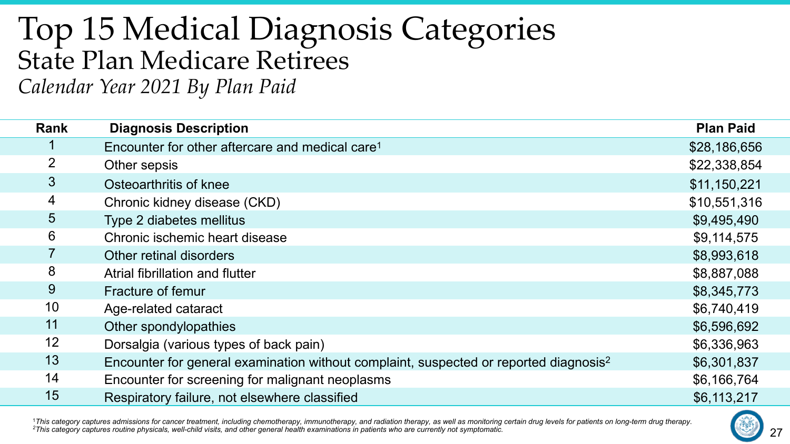#### Top 15 Medical Diagnosis Categories State Plan Medicare Retirees *Calendar Year 2021 By Plan Paid*

| Rank            | <b>Diagnosis Description</b>                                                                      | <b>Plan Paid</b> |
|-----------------|---------------------------------------------------------------------------------------------------|------------------|
|                 | Encounter for other aftercare and medical care <sup>1</sup>                                       | \$28,186,656     |
| $\overline{2}$  | Other sepsis                                                                                      | \$22,338,854     |
| $\mathfrak{S}$  | Osteoarthritis of knee                                                                            | \$11,150,221     |
| $\overline{4}$  | Chronic kidney disease (CKD)                                                                      | \$10,551,316     |
| $5\overline{)}$ | Type 2 diabetes mellitus                                                                          | \$9,495,490      |
| 6               | Chronic ischemic heart disease                                                                    | \$9,114,575      |
|                 | Other retinal disorders                                                                           | \$8,993,618      |
| 8               | Atrial fibrillation and flutter                                                                   | \$8,887,088      |
| 9               | Fracture of femur                                                                                 | \$8,345,773      |
| 10              | Age-related cataract                                                                              | \$6,740,419      |
| 11              | Other spondylopathies                                                                             | \$6,596,692      |
| 12              | Dorsalgia (various types of back pain)                                                            | \$6,336,963      |
| 13              | Encounter for general examination without complaint, suspected or reported diagnosis <sup>2</sup> | \$6,301,837      |
| 14              | Encounter for screening for malignant neoplasms                                                   | \$6,166,764      |
| 15              | Respiratory failure, not elsewhere classified                                                     | \$6,113,217      |

<sup>1</sup>This category captures admissions for cancer treatment, including chemotherapy, immunotherapy, and radiation therapy, as well as monitoring certain drug levels for patients on long-term drug therapy.<br><sup>2</sup>This category ca

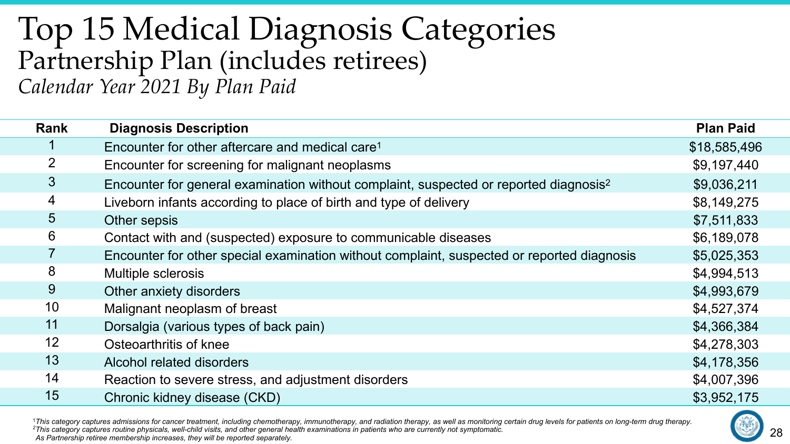#### Top 15 Medical Diagnosis Categories Partnership Plan (includes retirees) *Calendar Year 2021 By Plan Paid*

| <b>Rank</b>     | <b>Diagnosis Description</b>                                                                      | <b>Plan Paid</b> |
|-----------------|---------------------------------------------------------------------------------------------------|------------------|
|                 | Encounter for other aftercare and medical care <sup>1</sup>                                       | \$18,585,496     |
| 2               | Encounter for screening for malignant neoplasms                                                   | \$9,197,440      |
| $\mathbf{3}$    | Encounter for general examination without complaint, suspected or reported diagnosis <sup>2</sup> | \$9,036,211      |
| $\overline{4}$  | Liveborn infants according to place of birth and type of delivery                                 | \$8,149,275      |
| $5\overline{)}$ | Other sepsis                                                                                      | \$7,511,833      |
| 6               | Contact with and (suspected) exposure to communicable diseases                                    | \$6,189,078      |
| $\overline{7}$  | Encounter for other special examination without complaint, suspected or reported diagnosis        | \$5,025,353      |
| 8               | Multiple sclerosis                                                                                | \$4,994,513      |
| 9               | Other anxiety disorders                                                                           | \$4,993,679      |
| 10              | Malignant neoplasm of breast                                                                      | \$4,527,374      |
| 11              | Dorsalgia (various types of back pain)                                                            | \$4,366,384      |
| 12              | Osteoarthritis of knee                                                                            | \$4,278,303      |
| 13              | Alcohol related disorders                                                                         | \$4,178,356      |
| 14              | Reaction to severe stress, and adjustment disorders                                               | \$4,007,396      |
| 15              | Chronic kidney disease (CKD)                                                                      | \$3,952,175      |

<sup>1</sup>This category captures admissions for cancer treatment, including chemotherapy, immunotherapy, and radiation therapy, as well as monitoring certain drug levels for patients on long-term drug therapy.<br><sup>2</sup>This category ca

*As Partnership retiree membership increases, they will be reported separately.*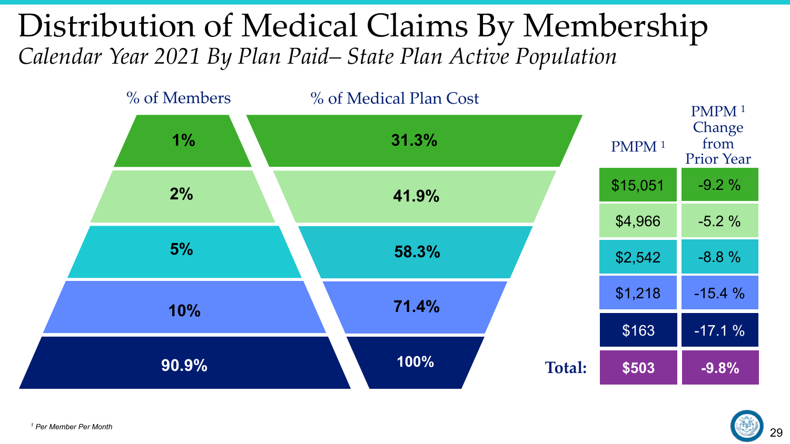#### Distribution of Medical Claims By Membership *Calendar Year 2021 By Plan Paid– State Plan Active Population*



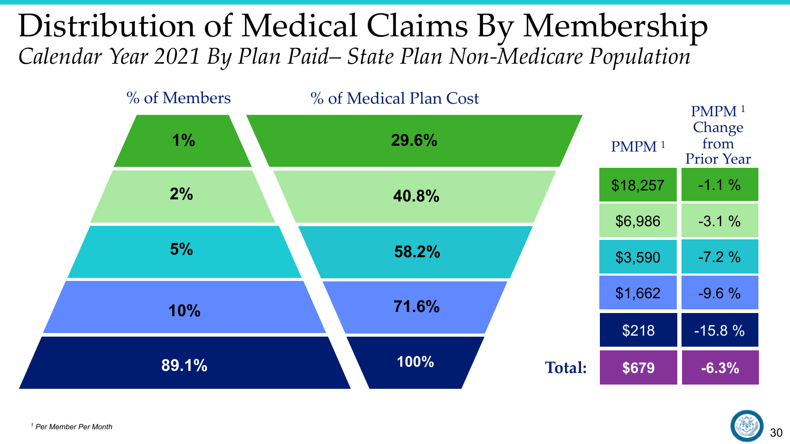#### Distribution of Medical Claims By Membership *Calendar Year 2021 By Plan Paid– State Plan Non-Medicare Population*



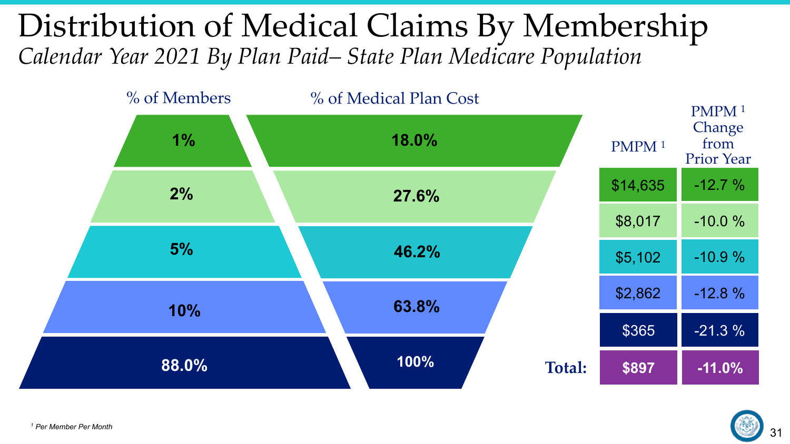#### Distribution of Medical Claims By Membership *Calendar Year 2021 By Plan Paid– State Plan Medicare Population*